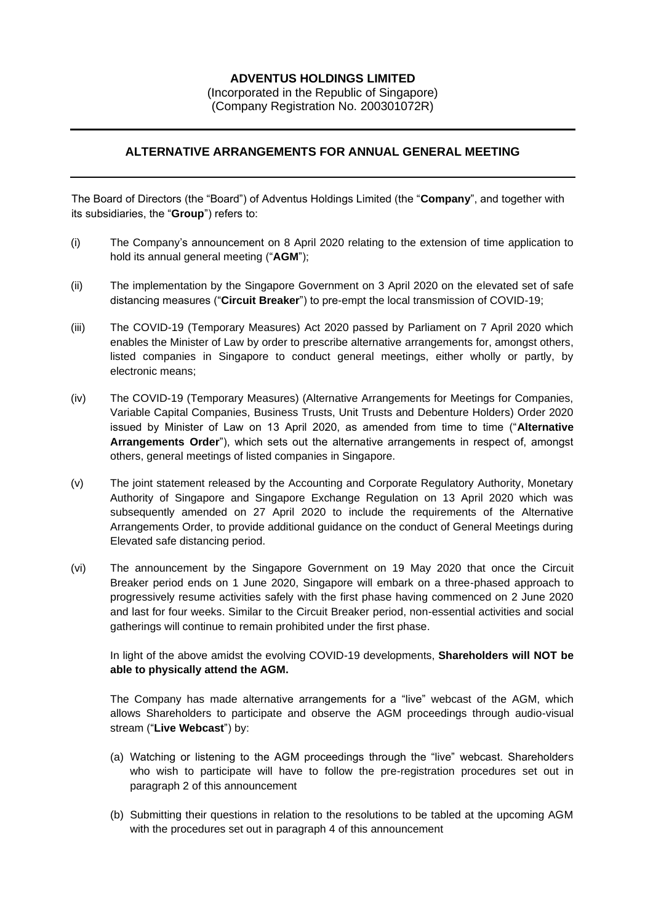## **ADVENTUS HOLDINGS LIMITED**

(Incorporated in the Republic of Singapore) (Company Registration No. 200301072R)

## **ALTERNATIVE ARRANGEMENTS FOR ANNUAL GENERAL MEETING**

The Board of Directors (the "Board") of Adventus Holdings Limited (the "**Company**", and together with its subsidiaries, the "**Group**") refers to:

- (i) The Company's announcement on 8 April 2020 relating to the extension of time application to hold its annual general meeting ("**AGM**");
- (ii) The implementation by the Singapore Government on 3 April 2020 on the elevated set of safe distancing measures ("**Circuit Breaker**") to pre-empt the local transmission of COVID-19;
- (iii) The COVID-19 (Temporary Measures) Act 2020 passed by Parliament on 7 April 2020 which enables the Minister of Law by order to prescribe alternative arrangements for, amongst others, listed companies in Singapore to conduct general meetings, either wholly or partly, by electronic means;
- (iv) The COVID-19 (Temporary Measures) (Alternative Arrangements for Meetings for Companies, Variable Capital Companies, Business Trusts, Unit Trusts and Debenture Holders) Order 2020 issued by Minister of Law on 13 April 2020, as amended from time to time ("**Alternative Arrangements Order**"), which sets out the alternative arrangements in respect of, amongst others, general meetings of listed companies in Singapore.
- (v) The joint statement released by the Accounting and Corporate Regulatory Authority, Monetary Authority of Singapore and Singapore Exchange Regulation on 13 April 2020 which was subsequently amended on 27 April 2020 to include the requirements of the Alternative Arrangements Order, to provide additional guidance on the conduct of General Meetings during Elevated safe distancing period.
- (vi) The announcement by the Singapore Government on 19 May 2020 that once the Circuit Breaker period ends on 1 June 2020, Singapore will embark on a three-phased approach to progressively resume activities safely with the first phase having commenced on 2 June 2020 and last for four weeks. Similar to the Circuit Breaker period, non-essential activities and social gatherings will continue to remain prohibited under the first phase.

In light of the above amidst the evolving COVID-19 developments, **Shareholders will NOT be able to physically attend the AGM.**

The Company has made alternative arrangements for a "live" webcast of the AGM, which allows Shareholders to participate and observe the AGM proceedings through audio-visual stream ("**Live Webcast**") by:

- (a) Watching or listening to the AGM proceedings through the "live" webcast. Shareholders who wish to participate will have to follow the pre-registration procedures set out in paragraph 2 of this announcement
- (b) Submitting their questions in relation to the resolutions to be tabled at the upcoming AGM with the procedures set out in paragraph 4 of this announcement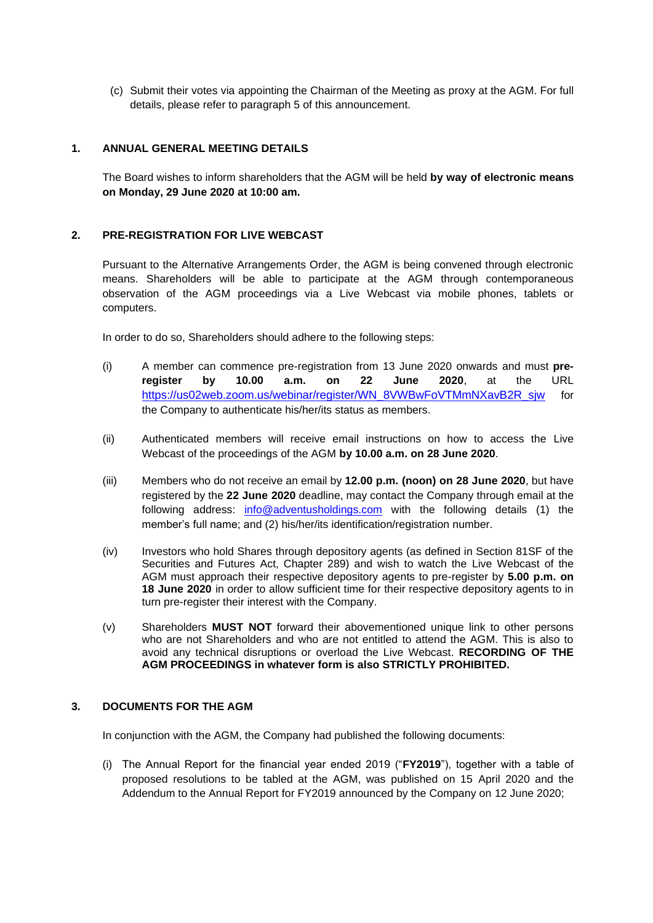(c) Submit their votes via appointing the Chairman of the Meeting as proxy at the AGM. For full details, please refer to paragraph 5 of this announcement.

## **1. ANNUAL GENERAL MEETING DETAILS**

The Board wishes to inform shareholders that the AGM will be held **by way of electronic means on Monday, 29 June 2020 at 10:00 am.** 

## **2. PRE-REGISTRATION FOR LIVE WEBCAST**

Pursuant to the Alternative Arrangements Order, the AGM is being convened through electronic means. Shareholders will be able to participate at the AGM through contemporaneous observation of the AGM proceedings via a Live Webcast via mobile phones, tablets or computers.

In order to do so, Shareholders should adhere to the following steps:

- (i) A member can commence pre-registration from 13 June 2020 onwards and must **preregister by 10.00 a.m. on 22 June 2020**, at the URL [https://us02web.zoom.us/webinar/register/WN\\_8VWBwFoVTMmNXavB2R\\_sjw](https://us02web.zoom.us/webinar/register/WN_8VWBwFoVTMmNXavB2R_sjw) for the Company to authenticate his/her/its status as members.
- (ii) Authenticated members will receive email instructions on how to access the Live Webcast of the proceedings of the AGM **by 10.00 a.m. on 28 June 2020**.
- (iii) Members who do not receive an email by **12.00 p.m. (noon) on 28 June 2020**, but have registered by the **22 June 2020** deadline, may contact the Company through email at the following address: [info@adventusholdings.com](mailto:info@adventusholdings.com) with the following details (1) the member's full name; and (2) his/her/its identification/registration number.
- (iv) Investors who hold Shares through depository agents (as defined in Section 81SF of the Securities and Futures Act, Chapter 289) and wish to watch the Live Webcast of the AGM must approach their respective depository agents to pre-register by **5.00 p.m. on 18 June 2020** in order to allow sufficient time for their respective depository agents to in turn pre-register their interest with the Company.
- (v) Shareholders **MUST NOT** forward their abovementioned unique link to other persons who are not Shareholders and who are not entitled to attend the AGM. This is also to avoid any technical disruptions or overload the Live Webcast. **RECORDING OF THE AGM PROCEEDINGS in whatever form is also STRICTLY PROHIBITED.**

## **3. DOCUMENTS FOR THE AGM**

In conjunction with the AGM, the Company had published the following documents:

(i) The Annual Report for the financial year ended 2019 ("**FY2019**"), together with a table of proposed resolutions to be tabled at the AGM, was published on 15 April 2020 and the Addendum to the Annual Report for FY2019 announced by the Company on 12 June 2020;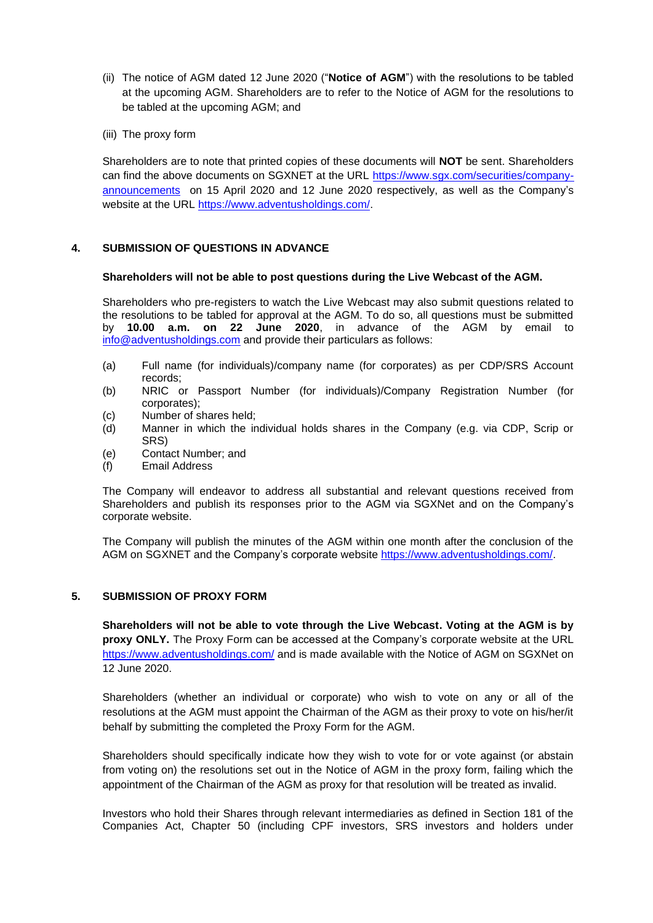- (ii) The notice of AGM dated 12 June 2020 ("**Notice of AGM**") with the resolutions to be tabled at the upcoming AGM. Shareholders are to refer to the Notice of AGM for the resolutions to be tabled at the upcoming AGM; and
- (iii) The proxy form

Shareholders are to note that printed copies of these documents will **NOT** be sent. Shareholders can find the above documents on SGXNET at the URL [https://www.sgx.com/securities/company](file:///C:/Users/yongru/AppData/Local/Microsoft/Windows/INetCache/Content.Outlook/FGC2L8HY/10%20June%202020%20%20-%20Instructions%20on%20AGM.doc%23_Hlk42684492)[announcements](file:///C:/Users/yongru/AppData/Local/Microsoft/Windows/INetCache/Content.Outlook/FGC2L8HY/10%20June%202020%20%20-%20Instructions%20on%20AGM.doc%23_Hlk42684492) on 15 April 2020 and 12 June 2020 respectively, as well as the Company's website at the URL [https://www.adventusholdings.com/.](https://www.adventusholdings.com/)

## **4. SUBMISSION OF QUESTIONS IN ADVANCE**

#### **Shareholders will not be able to post questions during the Live Webcast of the AGM.**

Shareholders who pre-registers to watch the Live Webcast may also submit questions related to the resolutions to be tabled for approval at the AGM. To do so, all questions must be submitted by **10.00 a.m. on 22 June 2020**, in advance of the AGM by email to [info@adventusholdings.com](mailto:info@adventusholdings.com) and provide their particulars as follows:

- (a) Full name (for individuals)/company name (for corporates) as per CDP/SRS Account records;
- (b) NRIC or Passport Number (for individuals)/Company Registration Number (for corporates);
- (c) Number of shares held;
- (d) Manner in which the individual holds shares in the Company (e.g. via CDP, Scrip or SRS)
- (e) Contact Number; and
- (f) Email Address

The Company will endeavor to address all substantial and relevant questions received from Shareholders and publish its responses prior to the AGM via SGXNet and on the Company's corporate website.

The Company will publish the minutes of the AGM within one month after the conclusion of the AGM on SGXNET and the Company's corporate website [https://www.adventusholdings.com/.](https://www.adventusholdings.com/)

# **5. SUBMISSION OF PROXY FORM**

**Shareholders will not be able to vote through the Live Webcast. Voting at the AGM is by proxy ONLY.** The Proxy Form can be accessed at the Company's corporate website at the URL <https://www.adventusholdings.com/> and is made available with the Notice of AGM on SGXNet on 12 June 2020.

Shareholders (whether an individual or corporate) who wish to vote on any or all of the resolutions at the AGM must appoint the Chairman of the AGM as their proxy to vote on his/her/it behalf by submitting the completed the Proxy Form for the AGM.

Shareholders should specifically indicate how they wish to vote for or vote against (or abstain from voting on) the resolutions set out in the Notice of AGM in the proxy form, failing which the appointment of the Chairman of the AGM as proxy for that resolution will be treated as invalid.

Investors who hold their Shares through relevant intermediaries as defined in Section 181 of the Companies Act, Chapter 50 (including CPF investors, SRS investors and holders under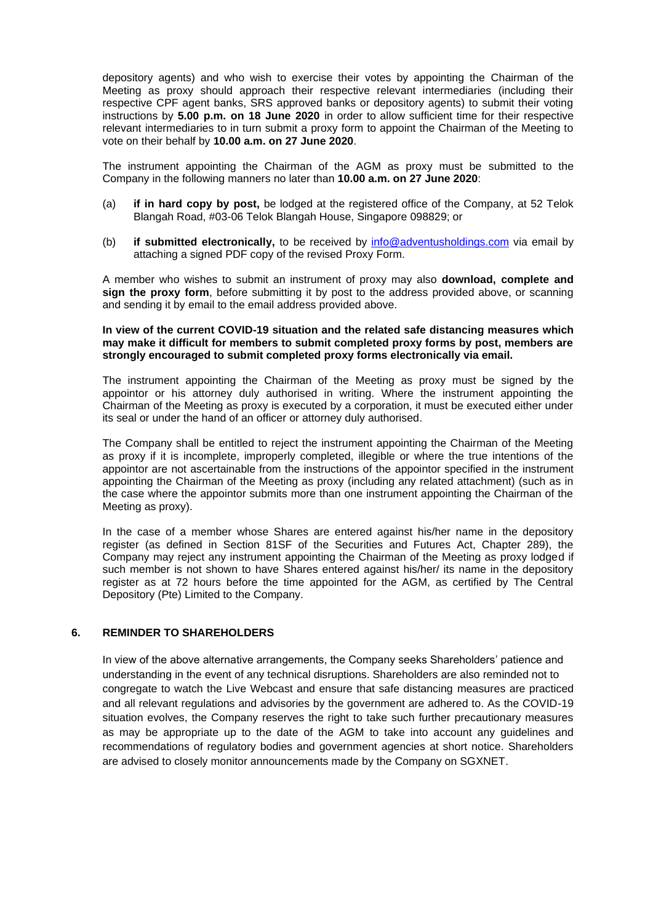depository agents) and who wish to exercise their votes by appointing the Chairman of the Meeting as proxy should approach their respective relevant intermediaries (including their respective CPF agent banks, SRS approved banks or depository agents) to submit their voting instructions by **5.00 p.m. on 18 June 2020** in order to allow sufficient time for their respective relevant intermediaries to in turn submit a proxy form to appoint the Chairman of the Meeting to vote on their behalf by **10.00 a.m. on 27 June 2020**.

The instrument appointing the Chairman of the AGM as proxy must be submitted to the Company in the following manners no later than **10.00 a.m. on 27 June 2020**:

- (a) **if in hard copy by post,** be lodged at the registered office of the Company, at 52 Telok Blangah Road, #03-06 Telok Blangah House, Singapore 098829; or
- (b) **if submitted electronically,** to be received by [info@adventusholdings.com](mailto:info@adventusholdings.com) via email by attaching a signed PDF copy of the revised Proxy Form.

A member who wishes to submit an instrument of proxy may also **download, complete and sign the proxy form**, before submitting it by post to the address provided above, or scanning and sending it by email to the email address provided above.

#### **In view of the current COVID-19 situation and the related safe distancing measures which may make it difficult for members to submit completed proxy forms by post, members are strongly encouraged to submit completed proxy forms electronically via email.**

The instrument appointing the Chairman of the Meeting as proxy must be signed by the appointor or his attorney duly authorised in writing. Where the instrument appointing the Chairman of the Meeting as proxy is executed by a corporation, it must be executed either under its seal or under the hand of an officer or attorney duly authorised.

The Company shall be entitled to reject the instrument appointing the Chairman of the Meeting as proxy if it is incomplete, improperly completed, illegible or where the true intentions of the appointor are not ascertainable from the instructions of the appointor specified in the instrument appointing the Chairman of the Meeting as proxy (including any related attachment) (such as in the case where the appointor submits more than one instrument appointing the Chairman of the Meeting as proxy).

In the case of a member whose Shares are entered against his/her name in the depository register (as defined in Section 81SF of the Securities and Futures Act, Chapter 289), the Company may reject any instrument appointing the Chairman of the Meeting as proxy lodged if such member is not shown to have Shares entered against his/her/ its name in the depository register as at 72 hours before the time appointed for the AGM, as certified by The Central Depository (Pte) Limited to the Company.

## **6. REMINDER TO SHAREHOLDERS**

In view of the above alternative arrangements, the Company seeks Shareholders' patience and understanding in the event of any technical disruptions. Shareholders are also reminded not to congregate to watch the Live Webcast and ensure that safe distancing measures are practiced and all relevant regulations and advisories by the government are adhered to. As the COVID-19 situation evolves, the Company reserves the right to take such further precautionary measures as may be appropriate up to the date of the AGM to take into account any guidelines and recommendations of regulatory bodies and government agencies at short notice. Shareholders are advised to closely monitor announcements made by the Company on SGXNET.